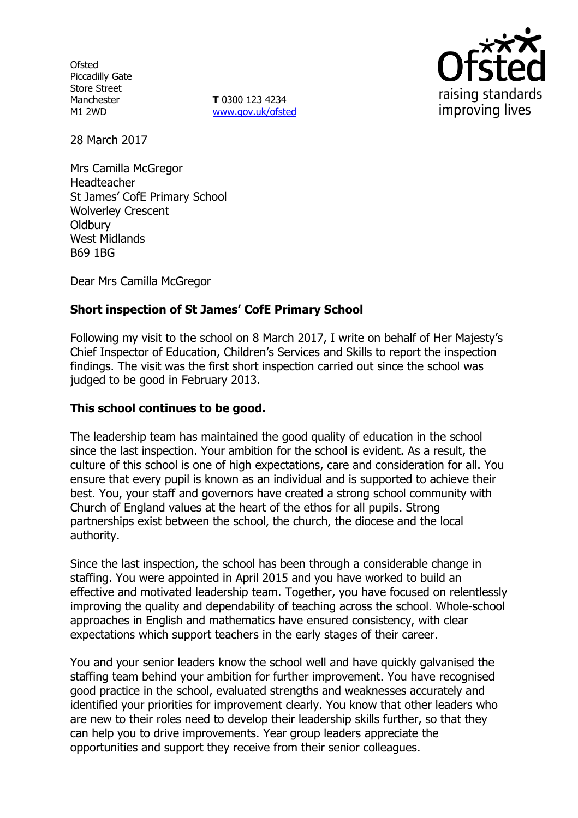**Ofsted** Piccadilly Gate Store Street Manchester M1 2WD

**T** 0300 123 4234 www.gov.uk/ofsted



28 March 2017

Mrs Camilla McGregor Headteacher St James' CofE Primary School Wolverley Crescent **Oldbury** West Midlands B69 1BG

Dear Mrs Camilla McGregor

# **Short inspection of St James' CofE Primary School**

Following my visit to the school on 8 March 2017, I write on behalf of Her Majesty's Chief Inspector of Education, Children's Services and Skills to report the inspection findings. The visit was the first short inspection carried out since the school was judged to be good in February 2013.

## **This school continues to be good.**

The leadership team has maintained the good quality of education in the school since the last inspection. Your ambition for the school is evident. As a result, the culture of this school is one of high expectations, care and consideration for all. You ensure that every pupil is known as an individual and is supported to achieve their best. You, your staff and governors have created a strong school community with Church of England values at the heart of the ethos for all pupils. Strong partnerships exist between the school, the church, the diocese and the local authority.

Since the last inspection, the school has been through a considerable change in staffing. You were appointed in April 2015 and you have worked to build an effective and motivated leadership team. Together, you have focused on relentlessly improving the quality and dependability of teaching across the school. Whole-school approaches in English and mathematics have ensured consistency, with clear expectations which support teachers in the early stages of their career.

You and your senior leaders know the school well and have quickly galvanised the staffing team behind your ambition for further improvement. You have recognised good practice in the school, evaluated strengths and weaknesses accurately and identified your priorities for improvement clearly. You know that other leaders who are new to their roles need to develop their leadership skills further, so that they can help you to drive improvements. Year group leaders appreciate the opportunities and support they receive from their senior colleagues.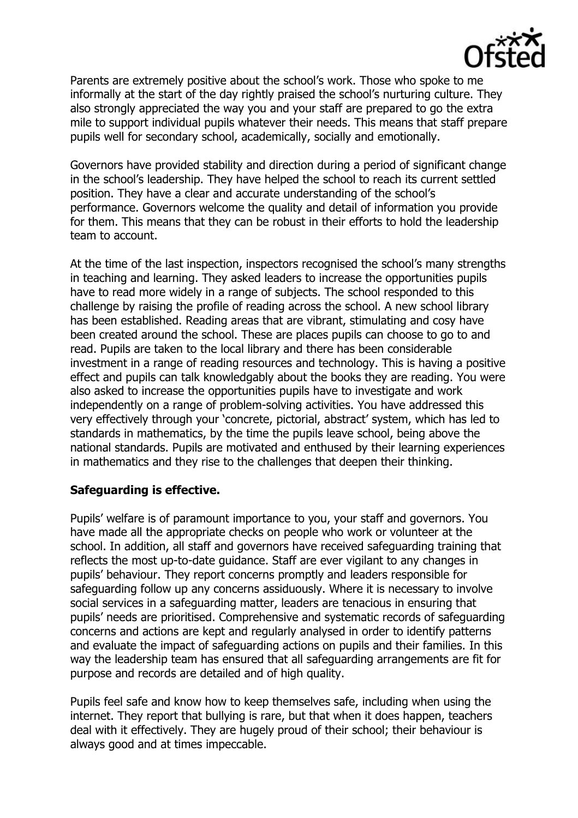

Parents are extremely positive about the school's work. Those who spoke to me informally at the start of the day rightly praised the school's nurturing culture. They also strongly appreciated the way you and your staff are prepared to go the extra mile to support individual pupils whatever their needs. This means that staff prepare pupils well for secondary school, academically, socially and emotionally.

Governors have provided stability and direction during a period of significant change in the school's leadership. They have helped the school to reach its current settled position. They have a clear and accurate understanding of the school's performance. Governors welcome the quality and detail of information you provide for them. This means that they can be robust in their efforts to hold the leadership team to account.

At the time of the last inspection, inspectors recognised the school's many strengths in teaching and learning. They asked leaders to increase the opportunities pupils have to read more widely in a range of subjects. The school responded to this challenge by raising the profile of reading across the school. A new school library has been established. Reading areas that are vibrant, stimulating and cosy have been created around the school. These are places pupils can choose to go to and read. Pupils are taken to the local library and there has been considerable investment in a range of reading resources and technology. This is having a positive effect and pupils can talk knowledgably about the books they are reading. You were also asked to increase the opportunities pupils have to investigate and work independently on a range of problem-solving activities. You have addressed this very effectively through your 'concrete, pictorial, abstract' system, which has led to standards in mathematics, by the time the pupils leave school, being above the national standards. Pupils are motivated and enthused by their learning experiences in mathematics and they rise to the challenges that deepen their thinking.

#### **Safeguarding is effective.**

Pupils' welfare is of paramount importance to you, your staff and governors. You have made all the appropriate checks on people who work or volunteer at the school. In addition, all staff and governors have received safeguarding training that reflects the most up-to-date guidance. Staff are ever vigilant to any changes in pupils' behaviour. They report concerns promptly and leaders responsible for safeguarding follow up any concerns assiduously. Where it is necessary to involve social services in a safeguarding matter, leaders are tenacious in ensuring that pupils' needs are prioritised. Comprehensive and systematic records of safeguarding concerns and actions are kept and regularly analysed in order to identify patterns and evaluate the impact of safeguarding actions on pupils and their families. In this way the leadership team has ensured that all safeguarding arrangements are fit for purpose and records are detailed and of high quality.

Pupils feel safe and know how to keep themselves safe, including when using the internet. They report that bullying is rare, but that when it does happen, teachers deal with it effectively. They are hugely proud of their school; their behaviour is always good and at times impeccable.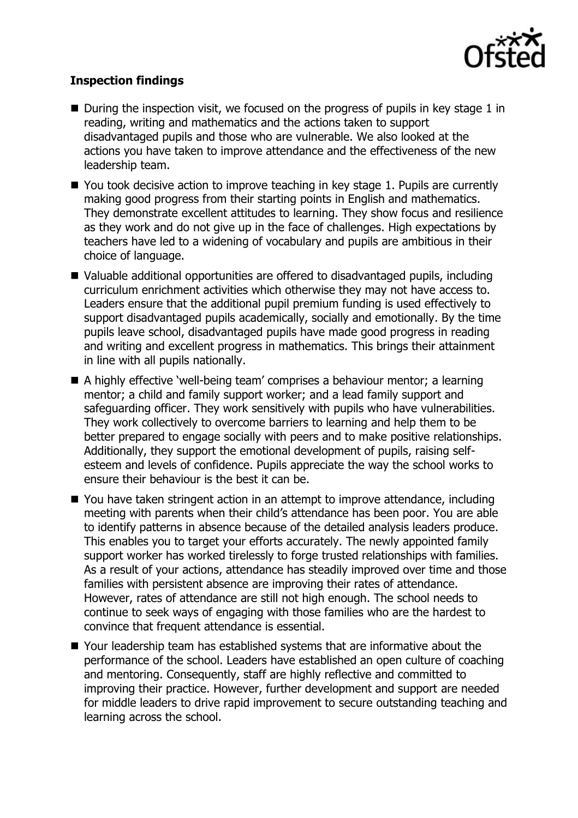

### **Inspection findings**

- $\blacksquare$  During the inspection visit, we focused on the progress of pupils in key stage 1 in reading, writing and mathematics and the actions taken to support disadvantaged pupils and those who are vulnerable. We also looked at the actions you have taken to improve attendance and the effectiveness of the new leadership team.
- You took decisive action to improve teaching in key stage 1. Pupils are currently making good progress from their starting points in English and mathematics. They demonstrate excellent attitudes to learning. They show focus and resilience as they work and do not give up in the face of challenges. High expectations by teachers have led to a widening of vocabulary and pupils are ambitious in their choice of language.
- Valuable additional opportunities are offered to disadvantaged pupils, including curriculum enrichment activities which otherwise they may not have access to. Leaders ensure that the additional pupil premium funding is used effectively to support disadvantaged pupils academically, socially and emotionally. By the time pupils leave school, disadvantaged pupils have made good progress in reading and writing and excellent progress in mathematics. This brings their attainment in line with all pupils nationally.
- A highly effective 'well-being team' comprises a behaviour mentor; a learning mentor; a child and family support worker; and a lead family support and safeguarding officer. They work sensitively with pupils who have vulnerabilities. They work collectively to overcome barriers to learning and help them to be better prepared to engage socially with peers and to make positive relationships. Additionally, they support the emotional development of pupils, raising selfesteem and levels of confidence. Pupils appreciate the way the school works to ensure their behaviour is the best it can be.
- You have taken stringent action in an attempt to improve attendance, including meeting with parents when their child's attendance has been poor. You are able to identify patterns in absence because of the detailed analysis leaders produce. This enables you to target your efforts accurately. The newly appointed family support worker has worked tirelessly to forge trusted relationships with families. As a result of your actions, attendance has steadily improved over time and those families with persistent absence are improving their rates of attendance. However, rates of attendance are still not high enough. The school needs to continue to seek ways of engaging with those families who are the hardest to convince that frequent attendance is essential.
- Your leadership team has established systems that are informative about the performance of the school. Leaders have established an open culture of coaching and mentoring. Consequently, staff are highly reflective and committed to improving their practice. However, further development and support are needed for middle leaders to drive rapid improvement to secure outstanding teaching and learning across the school.